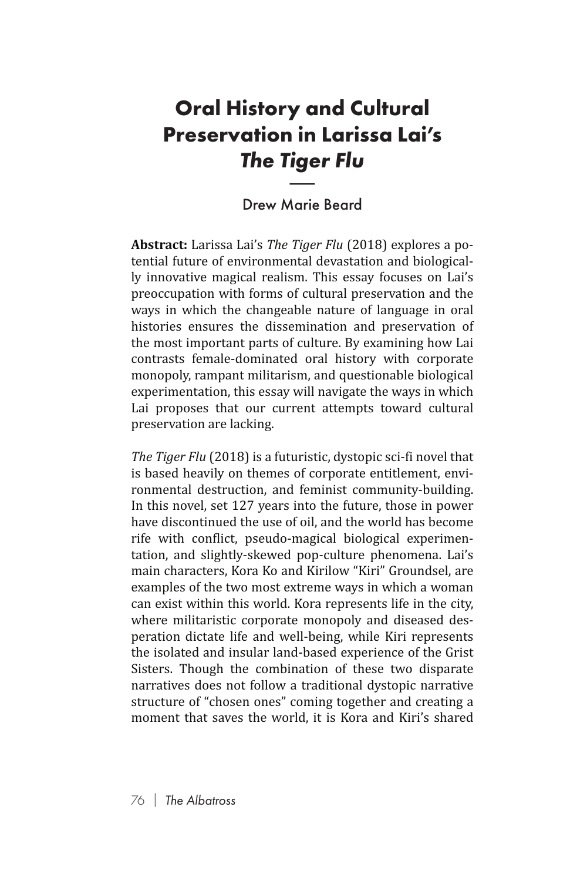## **Oral History and Cultural Preservation in Larissa Lai's**  *The Tiger Flu* **y a**<br>**n in<br>Tige**<br>Marie

## Drew Marie Beard

**Abstract:** Larissa Lai's *The Tiger Flu* (2018) explores a potential future of environmental devastation and biologically innovative magical realism. This essay focuses on Lai's preoccupation with forms of cultural preservation and the ways in which the changeable nature of language in oral histories ensures the dissemination and preservation of the most important parts of culture. By examining how Lai contrasts female-dominated oral history with corporate monopoly, rampant militarism, and questionable biological experimentation, this essay will navigate the ways in which Lai proposes that our current attempts toward cultural preservation are lacking.

*The Tiger Flu* (2018) is a futuristic, dystopic sci-fi novel that is based heavily on themes of corporate entitlement, environmental destruction, and feminist community-building. In this novel, set 127 years into the future, those in power have discontinued the use of oil, and the world has become rife with conflict, pseudo-magical biological experimentation, and slightly-skewed pop-culture phenomena. Lai's main characters, Kora Ko and Kirilow "Kiri" Groundsel, are examples of the two most extreme ways in which a woman can exist within this world. Kora represents life in the city, where militaristic corporate monopoly and diseased desperation dictate life and well-being, while Kiri represents the isolated and insular land-based experience of the Grist Sisters. Though the combination of these two disparate narratives does not follow a traditional dystopic narrative structure of "chosen ones" coming together and creating a moment that saves the world, it is Kora and Kiri's shared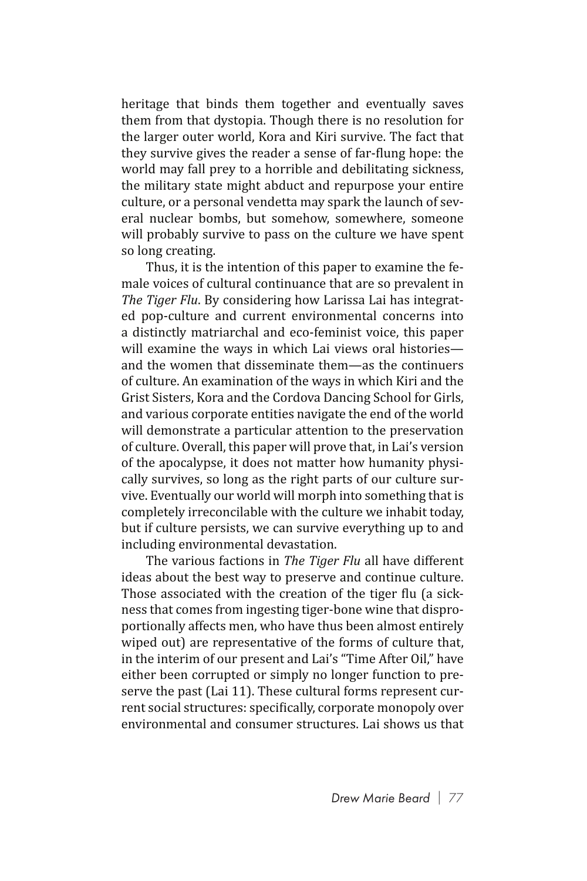heritage that binds them together and eventually saves them from that dystopia. Though there is no resolution for the larger outer world, Kora and Kiri survive. The fact that they survive gives the reader a sense of far-flung hope: the world may fall prey to a horrible and debilitating sickness, the military state might abduct and repurpose your entire culture, or a personal vendetta may spark the launch of several nuclear bombs, but somehow, somewhere, someone will probably survive to pass on the culture we have spent so long creating.

Thus, it is the intention of this paper to examine the female voices of cultural continuance that are so prevalent in *The Tiger Flu*. By considering how Larissa Lai has integrated pop-culture and current environmental concerns into a distinctly matriarchal and eco-feminist voice, this paper will examine the ways in which Lai views oral histories and the women that disseminate them—as the continuers of culture. An examination of the ways in which Kiri and the Grist Sisters, Kora and the Cordova Dancing School for Girls, and various corporate entities navigate the end of the world will demonstrate a particular attention to the preservation of culture. Overall, this paper will prove that, in Lai's version of the apocalypse, it does not matter how humanity physically survives, so long as the right parts of our culture survive. Eventually our world will morph into something that is completely irreconcilable with the culture we inhabit today, but if culture persists, we can survive everything up to and including environmental devastation.

The various factions in *The Tiger Flu* all have different ideas about the best way to preserve and continue culture. Those associated with the creation of the tiger flu (a sickness that comes from ingesting tiger-bone wine that disproportionally affects men, who have thus been almost entirely wiped out) are representative of the forms of culture that, in the interim of our present and Lai's "Time After Oil," have either been corrupted or simply no longer function to preserve the past (Lai 11). These cultural forms represent current social structures: specifically, corporate monopoly over environmental and consumer structures. Lai shows us that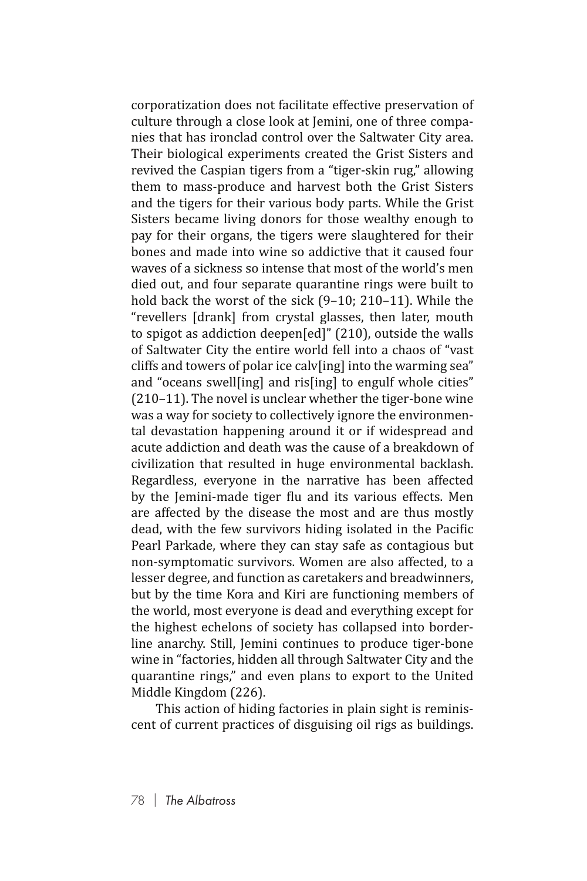corporatization does not facilitate effective preservation of culture through a close look at Jemini, one of three companies that has ironclad control over the Saltwater City area. Their biological experiments created the Grist Sisters and revived the Caspian tigers from a "tiger-skin rug," allowing them to mass-produce and harvest both the Grist Sisters and the tigers for their various body parts. While the Grist Sisters became living donors for those wealthy enough to pay for their organs, the tigers were slaughtered for their bones and made into wine so addictive that it caused four waves of a sickness so intense that most of the world's men died out, and four separate quarantine rings were built to hold back the worst of the sick (9–10; 210–11). While the "revellers [drank] from crystal glasses, then later, mouth to spigot as addiction deepen[ed]" (210), outside the walls of Saltwater City the entire world fell into a chaos of "vast cliffs and towers of polar ice calv[ing] into the warming sea" and "oceans swell[ing] and ris[ing] to engulf whole cities" (210–11). The novel is unclear whether the tiger-bone wine was a way for society to collectively ignore the environmental devastation happening around it or if widespread and acute addiction and death was the cause of a breakdown of civilization that resulted in huge environmental backlash. Regardless, everyone in the narrative has been affected by the Jemini-made tiger flu and its various effects. Men are affected by the disease the most and are thus mostly dead, with the few survivors hiding isolated in the Pacific Pearl Parkade, where they can stay safe as contagious but non-symptomatic survivors. Women are also affected, to a lesser degree, and function as caretakers and breadwinners, but by the time Kora and Kiri are functioning members of the world, most everyone is dead and everything except for the highest echelons of society has collapsed into borderline anarchy. Still, Jemini continues to produce tiger-bone wine in "factories, hidden all through Saltwater City and the quarantine rings," and even plans to export to the United Middle Kingdom (226).

This action of hiding factories in plain sight is reminiscent of current practices of disguising oil rigs as buildings.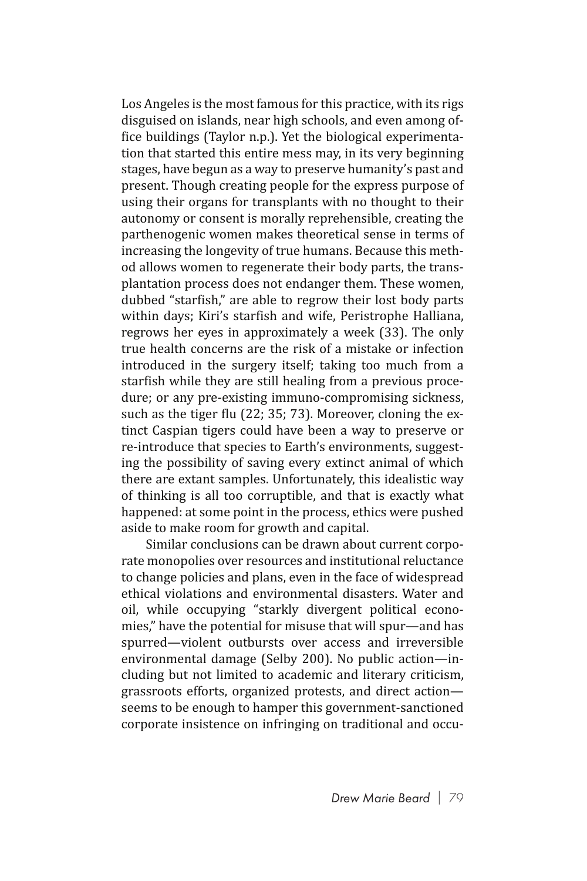Los Angeles is the most famous for this practice, with its rigs disguised on islands, near high schools, and even among office buildings (Taylor n.p.). Yet the biological experimentation that started this entire mess may, in its very beginning stages, have begun as a way to preserve humanity's past and present. Though creating people for the express purpose of using their organs for transplants with no thought to their autonomy or consent is morally reprehensible, creating the parthenogenic women makes theoretical sense in terms of increasing the longevity of true humans. Because this method allows women to regenerate their body parts, the transplantation process does not endanger them. These women, dubbed "starfish," are able to regrow their lost body parts within days; Kiri's starfish and wife, Peristrophe Halliana, regrows her eyes in approximately a week (33). The only true health concerns are the risk of a mistake or infection introduced in the surgery itself; taking too much from a starfish while they are still healing from a previous procedure; or any pre-existing immuno-compromising sickness, such as the tiger flu (22; 35; 73). Moreover, cloning the extinct Caspian tigers could have been a way to preserve or re-introduce that species to Earth's environments, suggesting the possibility of saving every extinct animal of which there are extant samples. Unfortunately, this idealistic way of thinking is all too corruptible, and that is exactly what happened: at some point in the process, ethics were pushed aside to make room for growth and capital.

Similar conclusions can be drawn about current corporate monopolies over resources and institutional reluctance to change policies and plans, even in the face of widespread ethical violations and environmental disasters. Water and oil, while occupying "starkly divergent political economies," have the potential for misuse that will spur—and has spurred—violent outbursts over access and irreversible environmental damage (Selby 200). No public action—including but not limited to academic and literary criticism, grassroots efforts, organized protests, and direct action seems to be enough to hamper this government-sanctioned corporate insistence on infringing on traditional and occu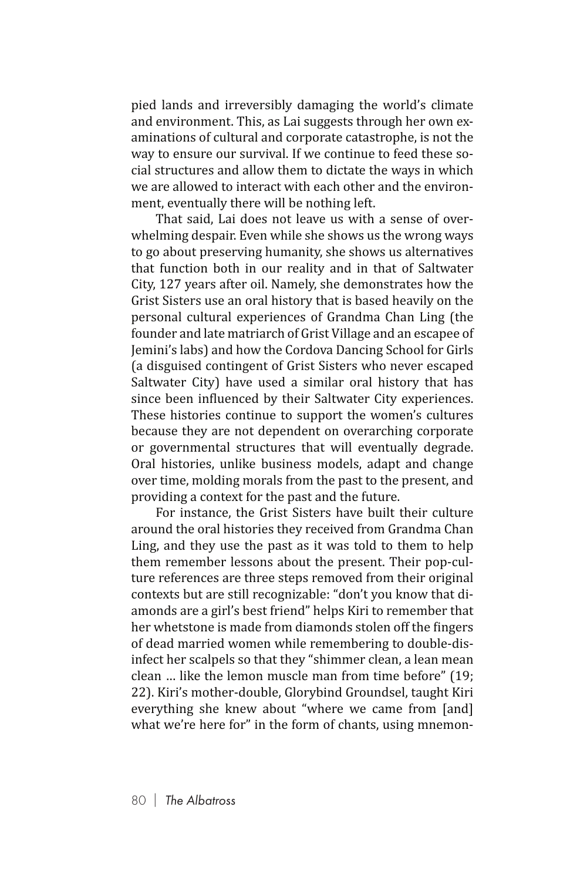pied lands and irreversibly damaging the world's climate and environment. This, as Lai suggests through her own examinations of cultural and corporate catastrophe, is not the way to ensure our survival. If we continue to feed these social structures and allow them to dictate the ways in which we are allowed to interact with each other and the environment, eventually there will be nothing left.

That said, Lai does not leave us with a sense of overwhelming despair. Even while she shows us the wrong ways to go about preserving humanity, she shows us alternatives that function both in our reality and in that of Saltwater City, 127 years after oil. Namely, she demonstrates how the Grist Sisters use an oral history that is based heavily on the personal cultural experiences of Grandma Chan Ling (the founder and late matriarch of Grist Village and an escapee of Jemini's labs) and how the Cordova Dancing School for Girls (a disguised contingent of Grist Sisters who never escaped Saltwater City) have used a similar oral history that has since been influenced by their Saltwater City experiences. These histories continue to support the women's cultures because they are not dependent on overarching corporate or governmental structures that will eventually degrade. Oral histories, unlike business models, adapt and change over time, molding morals from the past to the present, and providing a context for the past and the future.

For instance, the Grist Sisters have built their culture around the oral histories they received from Grandma Chan Ling, and they use the past as it was told to them to help them remember lessons about the present. Their pop-culture references are three steps removed from their original contexts but are still recognizable: "don't you know that diamonds are a girl's best friend" helps Kiri to remember that her whetstone is made from diamonds stolen off the fingers of dead married women while remembering to double-disinfect her scalpels so that they "shimmer clean, a lean mean clean … like the lemon muscle man from time before" (19; 22). Kiri's mother-double, Glorybind Groundsel, taught Kiri everything she knew about "where we came from [and] what we're here for" in the form of chants, using mnemon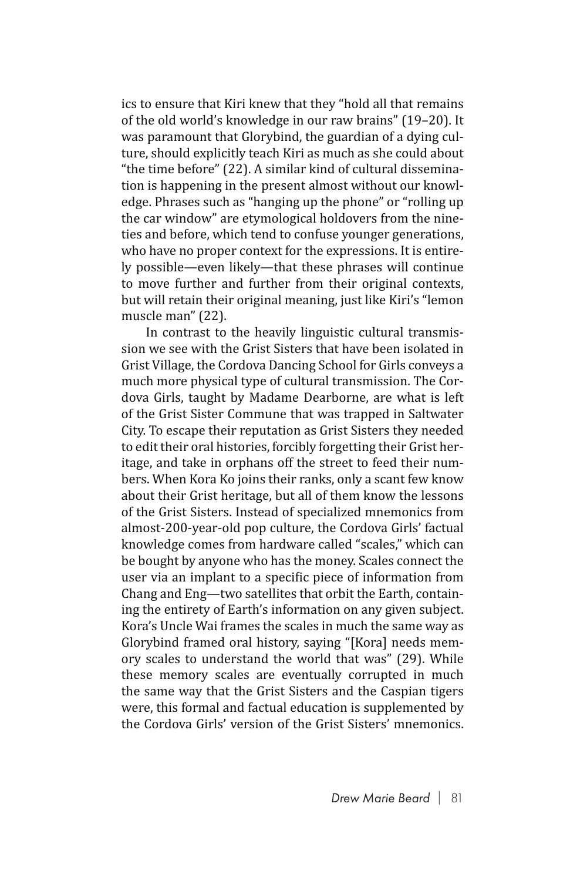ics to ensure that Kiri knew that they "hold all that remains of the old world's knowledge in our raw brains" (19–20). It was paramount that Glorybind, the guardian of a dying culture, should explicitly teach Kiri as much as she could about "the time before" (22). A similar kind of cultural dissemination is happening in the present almost without our knowledge. Phrases such as "hanging up the phone" or "rolling up the car window" are etymological holdovers from the nineties and before, which tend to confuse younger generations, who have no proper context for the expressions. It is entirely possible—even likely—that these phrases will continue to move further and further from their original contexts, but will retain their original meaning, just like Kiri's "lemon muscle man" (22).

In contrast to the heavily linguistic cultural transmission we see with the Grist Sisters that have been isolated in Grist Village, the Cordova Dancing School for Girls conveys a much more physical type of cultural transmission. The Cordova Girls, taught by Madame Dearborne, are what is left of the Grist Sister Commune that was trapped in Saltwater City. To escape their reputation as Grist Sisters they needed to edit their oral histories, forcibly forgetting their Grist heritage, and take in orphans off the street to feed their numbers. When Kora Ko joins their ranks, only a scant few know about their Grist heritage, but all of them know the lessons of the Grist Sisters. Instead of specialized mnemonics from almost-200-year-old pop culture, the Cordova Girls' factual knowledge comes from hardware called "scales," which can be bought by anyone who has the money. Scales connect the user via an implant to a specific piece of information from Chang and Eng—two satellites that orbit the Earth, containing the entirety of Earth's information on any given subject. Kora's Uncle Wai frames the scales in much the same way as Glorybind framed oral history, saying "[Kora] needs memory scales to understand the world that was" (29). While these memory scales are eventually corrupted in much the same way that the Grist Sisters and the Caspian tigers were, this formal and factual education is supplemented by the Cordova Girls' version of the Grist Sisters' mnemonics.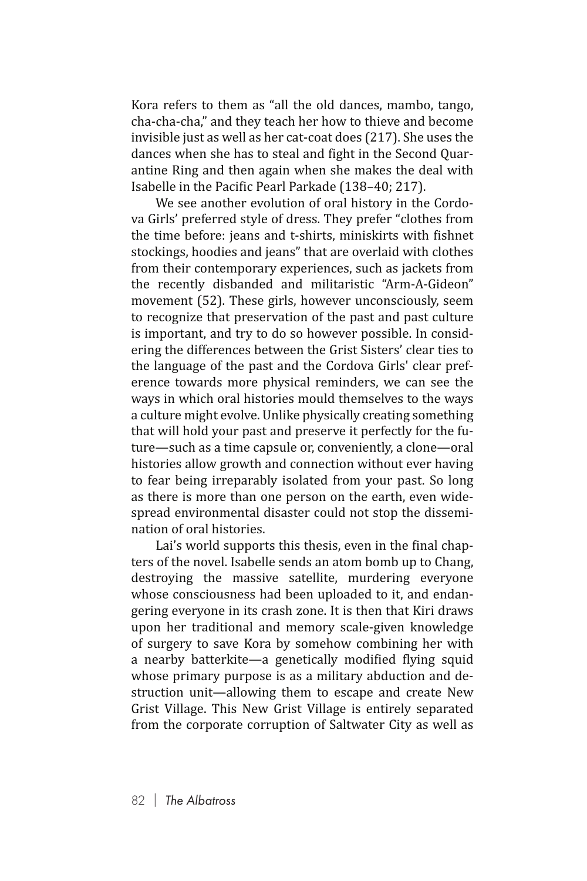Kora refers to them as "all the old dances, mambo, tango, cha-cha-cha," and they teach her how to thieve and become invisible just as well as her cat-coat does (217). She uses the dances when she has to steal and fight in the Second Quarantine Ring and then again when she makes the deal with Isabelle in the Pacific Pearl Parkade (138–40; 217).

We see another evolution of oral history in the Cordova Girls' preferred style of dress. They prefer "clothes from the time before: jeans and t-shirts, miniskirts with fishnet stockings, hoodies and jeans" that are overlaid with clothes from their contemporary experiences, such as jackets from the recently disbanded and militaristic "Arm-A-Gideon" movement (52). These girls, however unconsciously, seem to recognize that preservation of the past and past culture is important, and try to do so however possible. In considering the differences between the Grist Sisters' clear ties to the language of the past and the Cordova Girls' clear preference towards more physical reminders, we can see the ways in which oral histories mould themselves to the ways a culture might evolve. Unlike physically creating something that will hold your past and preserve it perfectly for the future—such as a time capsule or, conveniently, a clone—oral histories allow growth and connection without ever having to fear being irreparably isolated from your past. So long as there is more than one person on the earth, even widespread environmental disaster could not stop the dissemination of oral histories.

Lai's world supports this thesis, even in the final chapters of the novel. Isabelle sends an atom bomb up to Chang, destroying the massive satellite, murdering everyone whose consciousness had been uploaded to it, and endangering everyone in its crash zone. It is then that Kiri draws upon her traditional and memory scale-given knowledge of surgery to save Kora by somehow combining her with a nearby batterkite—a genetically modified flying squid whose primary purpose is as a military abduction and destruction unit—allowing them to escape and create New Grist Village. This New Grist Village is entirely separated from the corporate corruption of Saltwater City as well as